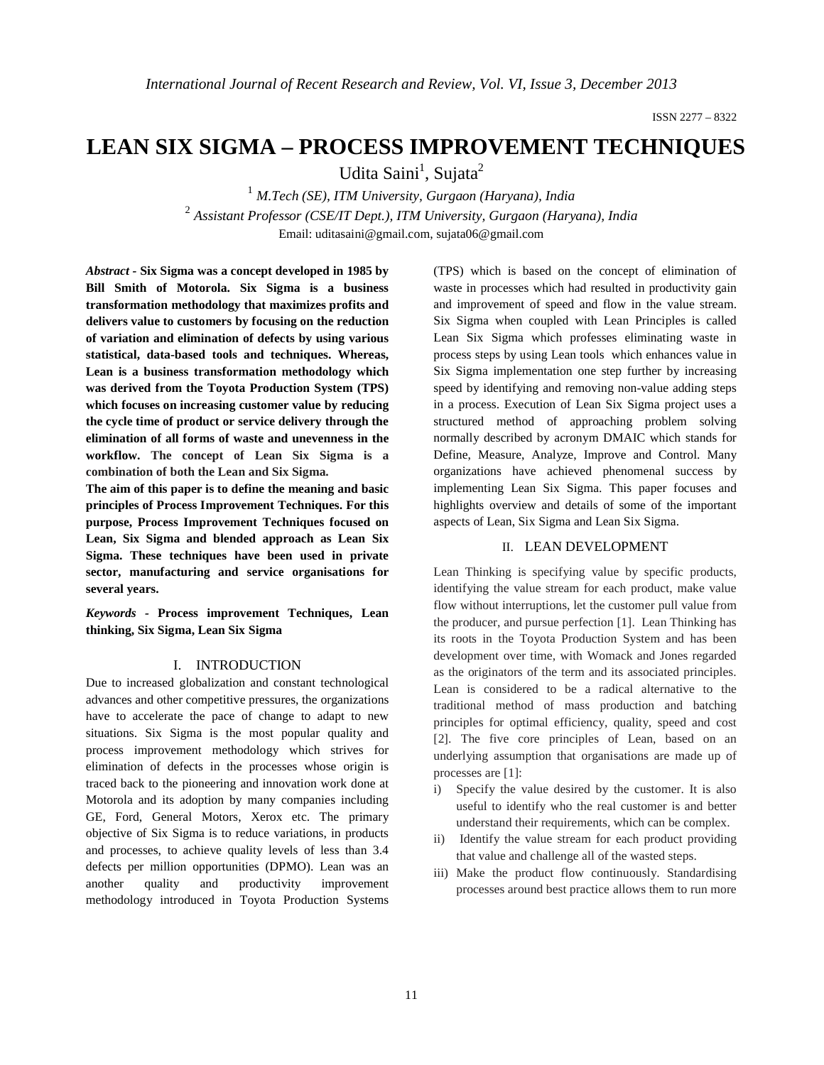# **LEAN SIX SIGMA – PROCESS IMPROVEMENT TECHNIQUES**

Udita Saini<sup>1</sup>, Sujata<sup>2</sup>

<sup>1</sup> *M.Tech (SE), ITM University, Gurgaon (Haryana), India* <sup>2</sup> *Assistant Professor (CSE/IT Dept.), ITM University, Gurgaon (Haryana), India* Email: uditasaini@gmail.com, sujata06@gmail.com

*Abstract -* **Six Sigma was a concept developed in 1985 by Bill Smith of Motorola. Six Sigma is a business transformation methodology that maximizes profits and delivers value to customers by focusing on the reduction of variation and elimination of defects by using various statistical, data-based tools and techniques. Whereas, Lean is a business transformation methodology which was derived from the Toyota Production System (TPS) which focuses on increasing customer value by reducing the cycle time of product or service delivery through the elimination of all forms of waste and unevenness in the workflow. The concept of Lean Six Sigma is a combination of both the Lean and Six Sigma.**

**The aim of this paper is to define the meaning and basic principles of Process Improvement Techniques. For this purpose, Process Improvement Techniques focused on Lean, Six Sigma and blended approach as Lean Six Sigma. These techniques have been used in private sector, manufacturing and service organisations for several years.**

*Keywords -* **Process improvement Techniques, Lean thinking, Six Sigma, Lean Six Sigma** 

## I. INTRODUCTION

Due to increased globalization and constant technological advances and other competitive pressures, the organizations have to accelerate the pace of change to adapt to new situations. Six Sigma is the most popular quality and process improvement methodology which strives for elimination of defects in the processes whose origin is traced back to the pioneering and innovation work done at Motorola and its adoption by many companies including GE, Ford, General Motors, Xerox etc. The primary objective of Six Sigma is to reduce variations, in products and processes, to achieve quality levels of less than 3.4 defects per million opportunities (DPMO). Lean was an another quality and productivity improvement methodology introduced in Toyota Production Systems

(TPS) which is based on the concept of elimination of waste in processes which had resulted in productivity gain and improvement of speed and flow in the value stream. Six Sigma when coupled with Lean Principles is called Lean Six Sigma which professes eliminating waste in process steps by using Lean tools which enhances value in Six Sigma implementation one step further by increasing speed by identifying and removing non-value adding steps in a process. Execution of Lean Six Sigma project uses a structured method of approaching problem solving normally described by acronym DMAIC which stands for Define, Measure, Analyze, Improve and Control. Many organizations have achieved phenomenal success by implementing Lean Six Sigma. This paper focuses and highlights overview and details of some of the important aspects of Lean, Six Sigma and Lean Six Sigma.

## II. LEAN DEVELOPMENT

Lean Thinking is specifying value by specific products, identifying the value stream for each product, make value flow without interruptions, let the customer pull value from the producer, and pursue perfection [1]. Lean Thinking has its roots in the Toyota Production System and has been development over time, with Womack and Jones regarded as the originators of the term and its associated principles. Lean is considered to be a radical alternative to the traditional method of mass production and batching principles for optimal efficiency, quality, speed and cost [2]. The five core principles of Lean, based on an underlying assumption that organisations are made up of processes are [1]:

- i) Specify the value desired by the customer. It is also useful to identify who the real customer is and better understand their requirements, which can be complex.
- ii) Identify the value stream for each product providing that value and challenge all of the wasted steps.
- iii) Make the product flow continuously. Standardising processes around best practice allows them to run more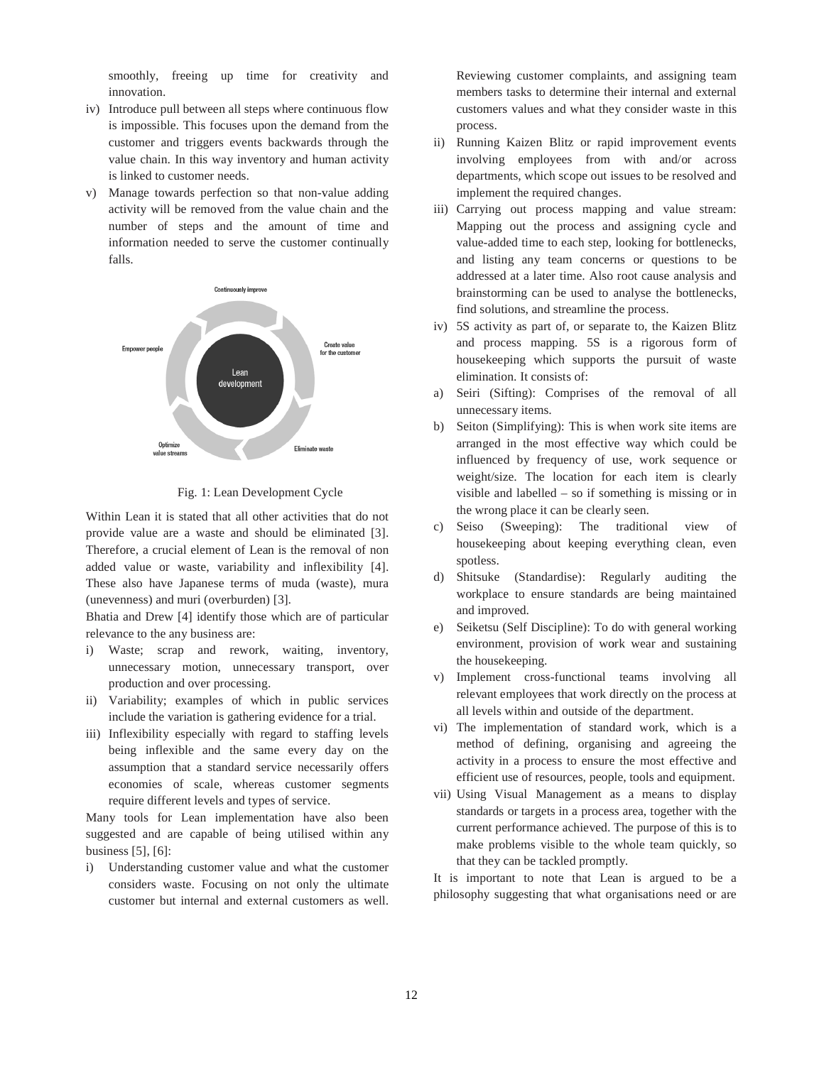smoothly, freeing up time for creativity and innovation. smoothly, freeing up time for creativity and<br>innovation.<br>Introduce pull between all steps where continuous flow<br>is impossible. This focuses upon the demand from the

- iv) Introduce pull between all steps where continuous flow customer and triggers events backwards through the value chain. In this way inventory and human activity is linked to customer needs.
- v) Manage towards perfection so that non-value adding activity will be removed from the value chain and the number of steps and the amount of time and Manage towards perfection so that non-value adding<br>activity will be removed from the value chain and the<br>number of steps and the amount of time and<br>information needed to serve the customer continually falls.



Fig. 1: Lean Development Cycle

Within Lean it is stated that all other activities that do not Within Lean it is stated that all other activities that do not provide value are a waste and should be eliminated [3]. Therefore, a crucial element of Lean is the removal of non Therefore, a crucial element of Lean is the removal of non added value or waste, variability and inflexibility [4]. These also have Japanese terms of muda (waste), mura (unevenness) and muri (overburden) [3]. These also have Japanese terms of muda (waste), mura<br>(unevenness) and muri (overburden) [3].<br>Bhatia and Drew [4] identify those which are of particular

relevance to the any business are:

- i) Waste; scrap and rework, waiting, inventory, unnecessary motion, unnecessary transport, over production and over processing.
- ii) Variability; examples of which in public services include the variation is gathering evidence for a trial.
- iii) Inflexibility especially with regard to staffing levels being inflexible and the same every day on the assumption that a standard service necessarily offers economies of scale, whereas customer segments require different levels and types of service. and the same every day on the<br>a standard service necessarily offers<br>cale, whereas customer segments<br>evels and types of service.<br>an implementation have also been

Many tools for Lean implementation have also been suggested and are capable of being utilised within any business [5], [6]:

i) Understanding customer value and what the customer considers waste. Focusing on not only the ultimate customer but internal and external customers as well.

members tasks to determine their internal and external Reviewing customer complaints, and assigning team<br>members tasks to determine their internal and external<br>customers values and what they consider waste in this process.

- ii) Running Kaizen Blitz or rapid improvement events involving employees from with and/or across departments, which scope out issues to be resolved and implement the required changes.
- anyand customers Reviewing customer complaints, and assigning team iii) Carrying out process mapping and value stream: Mapping out the process and assigning cycle and value-added time to each step, looking for bottlenecks, and listing any team concerns or questions addressed at a later time. Also root cause analysis and brainstorming can be used to analyse the bottlenecks, find solutions, and streamline the process. involving employees from with and/or across<br>departments, which scope out issues to be resolved and<br>implement the required changes.<br>Carrying out process mapping and value stream:<br>Mapping out the process and assigning cycle
	- iv) 5S activity as part of, or separate to, the Kaizen Blitz find solutions, and streamline the process.<br>
	5S activity as part of, or separate to, the Kaizen Blitz<br>
	and process mapping. 5S is a rigorous form of housekeeping which supports the pursuit of waste elimination. It consists of:
	- a) Seiri (Sifting): Comprises of the removal of all unnecessary items.
	- b) Seiton (Simplifying): This is when work site items are arranged in the most effective way which could influenced by frequency of use, work sequence or weight/size. The location for each item is clearly visible and labelled – so if something is missing or in the wrong place it can be clearly seen. housekeeping which supports the pursuit of waste<br>elimination. It consists of:<br>Seiri (Sifting): Comprises of the removal of all<br>unnecessary items.<br>Seiton (Simplifying): This is when work site items are<br>arranged in the most
	- c) Seiso (Sweeping): The traditional view of housekeeping about keeping everything clean, even spotless. visible and labelled – so if something is missing or in<br>the wrong place it can be clearly seen.<br>Seiso (Sweeping): The traditional view of<br>housekeeping about keeping everything clean, even<br>spotless.<br>Shitsuke (Standardise):
	- d) Shitsuke (Standardise): Regularly auditing the workplace to ensure standards are being maintained and improved.
	- e) Seiketsu (Self Discipline): To do with general working environment, provision of work wear and the housekeeping.
	- v) Implement cross-functional teams involving all Implement cross-functional teams involving all relevant employees that work directly on the process at all levels within and outside of the department.
	- vi) The implementation of standard work, which is a method of defining, organising and agreeing the activity in a process to ensure the most effective and efficient use of resources, people, tools and equipment. of defining, organising and agreeing the<br>in a process to ensure the most effective and<br>t use of resources, people, tools and equipment.<br>Visual Management as a means to display
	- vii) Using Visual Management as a means to displ standards or targets in a process area, together with the current performance achieved. The purpose of this is to make problems visible to the whole team quickly, that they can be tackled promptly. rds or targets in a process area, together with the<br>t performance achieved. The purpose of this is to<br>problems visible to the whole team quickly, so

that they can be tackled promptly.<br>It is important to note that Lean is argued to be a philosophy suggesting that what organisations need or are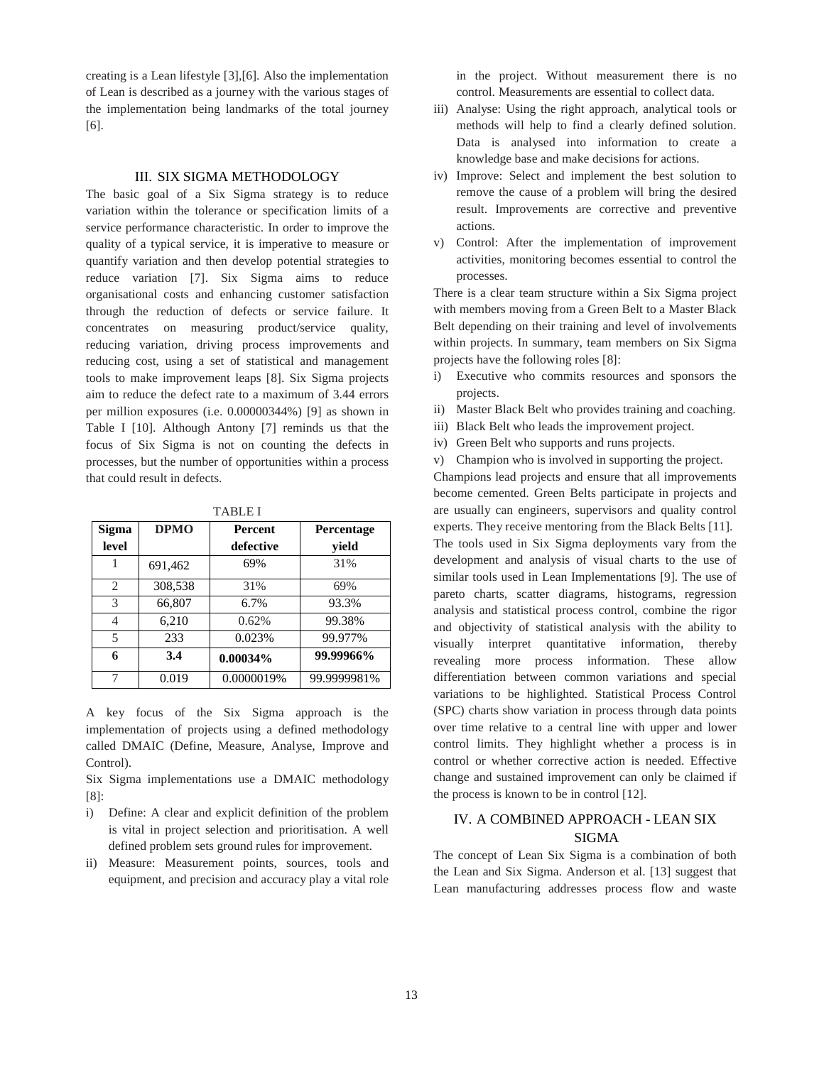creating is a Lean lifestyle [3],[6]. Also the implementation of Lean is described as a journey with the various stages of the implementation being landmarks of the total journey [6].

#### III. SIX SIGMA METHODOLOGY

The basic goal of a Six Sigma strategy is to reduce variation within the tolerance or specification limits of a service performance characteristic. In order to improve the quality of a typical service, it is imperative to measure or quantify variation and then develop potential strategies to reduce variation [7]. Six Sigma aims to reduce organisational costs and enhancing customer satisfaction through the reduction of defects or service failure. It concentrates on measuring product/service quality, reducing variation, driving process improvements and reducing cost, using a set of statistical and management tools to make improvement leaps [8]. Six Sigma projects aim to reduce the defect rate to a maximum of 3.44 errors per million exposures (i.e. 0.00000344%) [9] as shown in Table I [10]. Although Antony [7] reminds us that the focus of Six Sigma is not on counting the defects in processes, but the number of opportunities within a process that could result in defects.

|--|--|--|--|--|

| <b>Sigma</b>   | <b>DPMO</b> | Percent     | <b>Percentage</b> |
|----------------|-------------|-------------|-------------------|
| level          |             | defective   | yield             |
|                | 691,462     | 69%         | 31%               |
| $\mathfrak{2}$ | 308,538     | 31%         | 69%               |
| 3              | 66,807      | 6.7%        | 93.3%             |
| 4              | 6,210       | 0.62%       | 99.38%            |
| 5              | 233         | 0.023%      | 99.977%           |
| 6              | 3.4         | $0.00034\%$ | 99.99966%         |
| 7              | 0.019       | 0.0000019%  | 99.9999981%       |

A key focus of the Six Sigma approach is the implementation of projects using a defined methodology called DMAIC (Define, Measure, Analyse, Improve and Control).

Six Sigma implementations use a DMAIC methodology [8]:

- i) Define: A clear and explicit definition of the problem is vital in project selection and prioritisation. A well defined problem sets ground rules for improvement.
- ii) Measure: Measurement points, sources, tools and equipment, and precision and accuracy play a vital role

in the project. Without measurement there is no control. Measurements are essential to collect data.

- iii) Analyse: Using the right approach, analytical tools or methods will help to find a clearly defined solution. Data is analysed into information to create a knowledge base and make decisions for actions.
- iv) Improve: Select and implement the best solution to remove the cause of a problem will bring the desired result. Improvements are corrective and preventive actions.
- v) Control: After the implementation of improvement activities, monitoring becomes essential to control the processes.

There is a clear team structure within a Six Sigma project with members moving from a Green Belt to a Master Black Belt depending on their training and level of involvements within projects. In summary, team members on Six Sigma projects have the following roles [8]:

- i) Executive who commits resources and sponsors the projects.
- ii) Master Black Belt who provides training and coaching.
- iii) Black Belt who leads the improvement project.
- iv) Green Belt who supports and runs projects.
- v) Champion who is involved in supporting the project.

Champions lead projects and ensure that all improvements become cemented. Green Belts participate in projects and are usually can engineers, supervisors and quality control experts. They receive mentoring from the Black Belts [11]. The tools used in Six Sigma deployments vary from the development and analysis of visual charts to the use of similar tools used in Lean Implementations [9]. The use of pareto charts, scatter diagrams, histograms, regression analysis and statistical process control, combine the rigor and objectivity of statistical analysis with the ability to visually interpret quantitative information, thereby revealing more process information. These allow differentiation between common variations and special variations to be highlighted. Statistical Process Control (SPC) charts show variation in process through data points over time relative to a central line with upper and lower control limits. They highlight whether a process is in control or whether corrective action is needed. Effective change and sustained improvement can only be claimed if the process is known to be in control [12].

# IV. A COMBINED APPROACH - LEAN SIX SIGMA

The concept of Lean Six Sigma is a combination of both the Lean and Six Sigma. Anderson et al. [13] suggest that Lean manufacturing addresses process flow and waste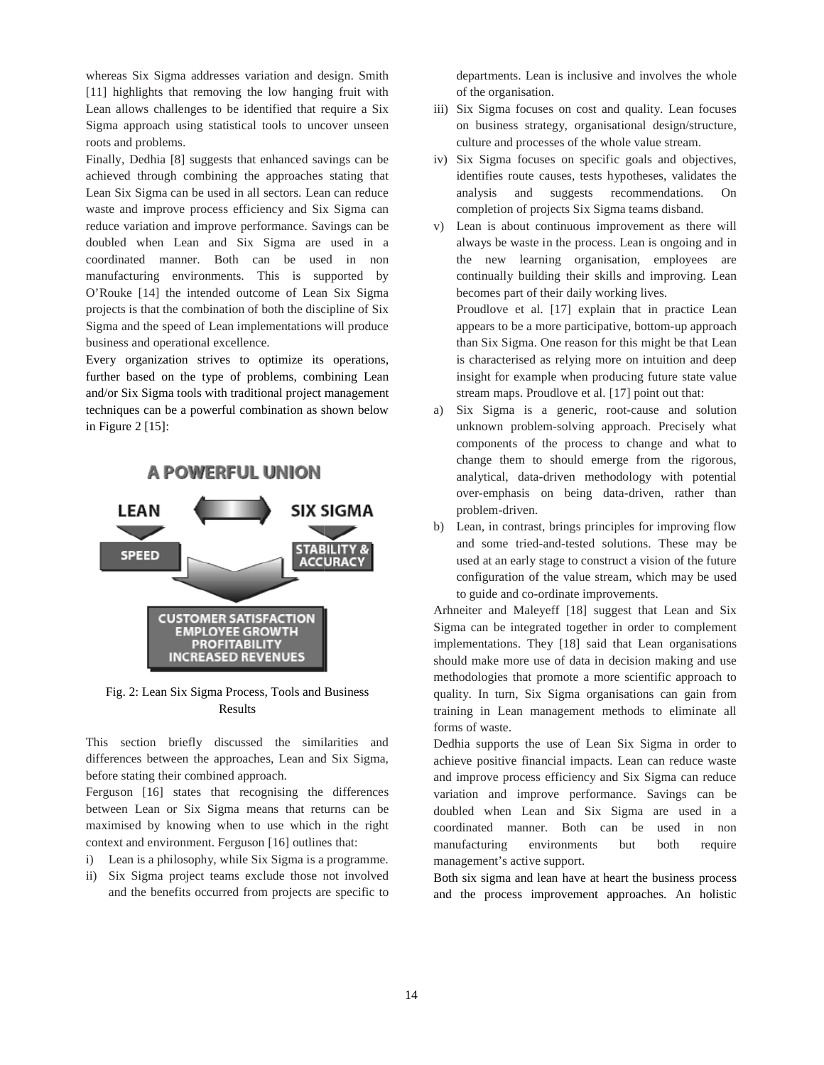whereas Six Sigma addresses variation and design. Smith [11] highlights that removing the low hanging fruit with Lean allows challenges to be identified that require a Six Sigma approach using statistical tools to uncover unseen roots and problems. the require is denoted that require a Six<br>tical tools to uncover unseen<br>that enhanced savings can be<br>that enhanced savings can be

Finally, Dedhia [8] suggests that enhanced savings can be achieved through combining the approaches Lean Six Sigma can be used in all sectors. Lean can reduce waste and improve process efficiency and Six Sigma can reduce variation and improve performance. Savings can be doubled when Lean and Six Sigma are used in a coordinated manner. Both can be used in non manufacturing environments. This is supported by O'Rouke [14] the intended outcome of Lean projects is that the combination of both the discipline of Six Sigma and the speed of Lean implementations will produce business and operational excellence. ix Sigma can be used in all sectors. Lean can reduce<br>and improve process efficiency and Six Sigma can<br>variation and improve performance. Savings can be<br>1 when Lean and Six Sigma are used in a<br>ated manner. Both can be used

Every organization strives to optimize its operations, further based on the type of problems, combining Lean and/or Six Sigma tools with traditional project management techniques can be a powerful combination as shown below in Figure 2 [15]:



Fig. 2: Lean Six Sigma Process, Tools and Business Results

This section briefly discussed the similarities and differences between the approaches, Lean and Six Sigma, before stating their combined approach.

Ferguson [16] states that recognising the differences between Lean or Six Sigma means that returns can be maximised by knowing when to use which in the right context and environment. Ferguson [16] outlines that:

- i) Lean is a philosophy, while Six Sigma is a programme.
- ii) Six Sigma project teams exclude those not involved and the benefits occurred from projects are specific to

departments. Lean is inclusive and involves the whole of the organisation.

- iii) Six Sigma focuses on cost and quality. Lean focuses on business strategy, organisational design/structure, culture and processes of the whole value stream. artments. Lean is inclusive and involves the whole<br>he organisation.<br>Sigma focuses on cost and quality. Lean focuses<br>business strategy, organisational design/structure,<br>ure and processes of the whole value stream.<br>Sigma foc
- iv) Six Sigma focuses on specifi identifies route causes, tests hypotheses, validates the analysis and suggests recommendations. On completion of projects Six Sigma teams disband.
- v) Lean is about continuous improvement as there will analysis and suggests recommendations. On completion of projects Six Sigma teams disband.<br>Lean is about continuous improvement as there will always be waste in the process. Lean is ongoing and in the new learning organisation, employees are continually building their skills and improving. Lean becomes part of their daily working lives. the new learning organisation, employees are<br>
continually building their skills and improving. Lean<br>
becomes part of their daily working lives.<br>
Proudlove et al. [17] explain that in practice Lean

appears to be a more participative, bottom-up approach than Six Sigma. One reason for this might be that Lean is characterised as relying more on intuition and deep insight for example when producing future state value than Six Sigma. One reason for this might be that<br>is characterised as relying more on intuition and<br>insight for example when producing future state<br>stream maps. Proudlove et al. [17] point out that:

- a) Six Sigma is a generic, root-cause and solution unknown problem-solving approach. Precisely what components of the process to change and what to change them to should emerge from the rigorous, analytical, data-driven methodology with potential over-emphasis on being data-driven, rather than problem-driven. own problem-solving approach. Precisely what<br>onents of the process to change and what to<br>ge them to should emerge from the rigorous,<br>tical, data-driven methodology with potential<br>emphasis on being data-driven, rather than
- b) Lean, in contrast, brings principles for improving flow Lean, in contrast, brings principles for improving flow<br>and some tried-and-tested solutions. These may be used at an early stage to construct a vision of the future configuration of the value stream, which may be used to guide and co-ordinate improvements.

Arhneiter and Maleyeff [18] suggest that Lean and Six to guide and co-ordinate improvements.<br>Arhneiter and Maleyeff [18] suggest that Lean and Six<br>Sigma can be integrated together in order to complement implementations. They [18] said that Lean organisations should make more use of data in decision making and use methodologies that promote a more scientific approach to quality. In turn, Six Sigma organisations can gain from training in Lean management methods to eliminate all forms of waste. logies that promote a more scientific approach to<br>In turn, Six Sigma organisations can gain from<br>in Lean management methods to eliminate all<br>waste.<br>supports the use of Lean Six Sigma in order to<br>positive financial impacts.

Dedhia supports the use of Lean Six Sigma in order to achieve positive financial impacts. Lean can reduce waste and improve process efficiency and Six Sigma can reduce variation and improve performance. Savings can be doubled when Lean and Six Sigma are used in a coordinated manner. Both can be used in non manufacturing environments but both require management's active support. doubled when Lean and Six Sigma are used in a coordinated manner. Both can be used in non manufacturing environments but both require management's active support.<br>Both six sigma and lean have at heart the business process

and the process improvement approaches. An holistic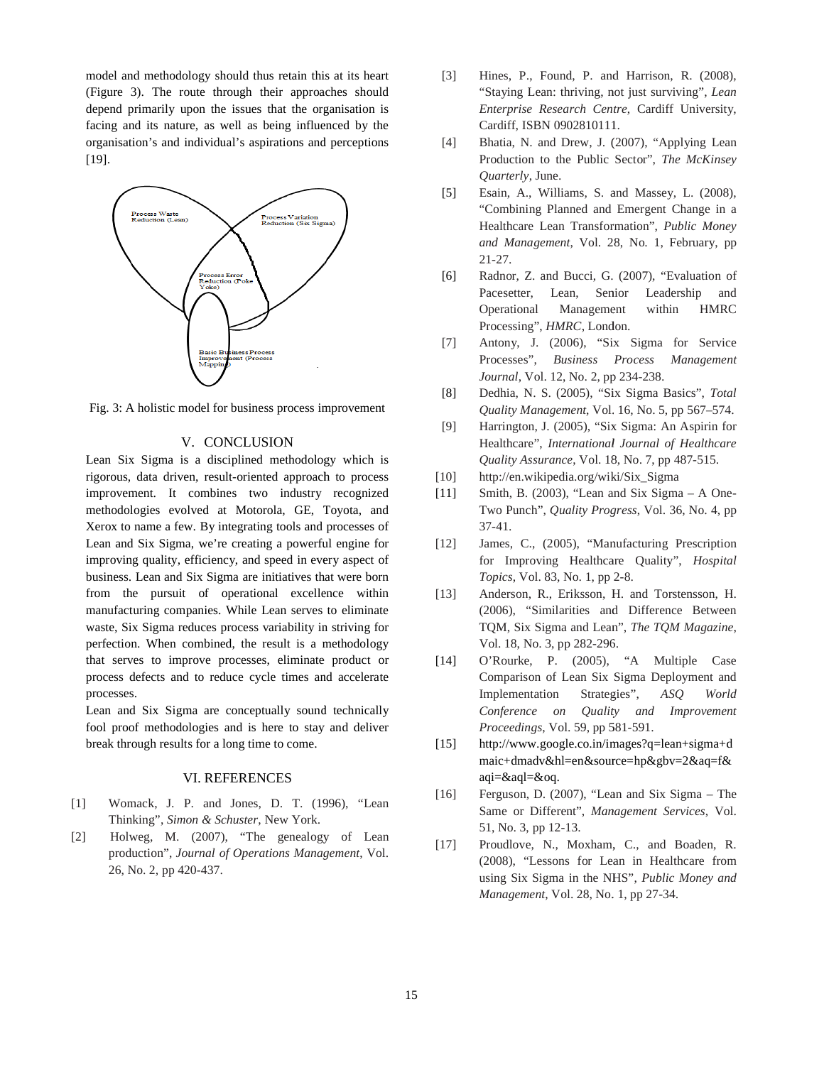model and methodology should thus retain this at its heart (Figure 3). The route through their approaches should depend primarily upon the issues that the organisation is facing and its nature, as well as being influenced by the organisation's and individual's aspirations and perceptions [19].



Fig. 3: A holistic model for business process improvement

#### V. CONCLUSION

Lean Six Sigma is a disciplined methodology which is rigorous, data driven, result-oriented approach to process improvement. It combines two industry recognized methodologies evolved at Motorola, GE, Toyo Xerox to name a few. By integrating tools and processes of Lean and Six Sigma, we're creating a powerful engine for improving quality, efficiency, and speed in every aspect of business. Lean and Six Sigma are initiatives that were born from the pursuit of operational excellence manufacturing companies. While Lean serves to eliminate waste, Six Sigma reduces process variability in striving for perfection. When combined, the result is a methodology that serves to improve processes, eliminate product or process defects and to reduce cycle times and accelerate processes. : A holistic model for business process improvement<br>V. CONCLUSION<br>Six Sigma is a disciplined methodology which is<br>us, data driven, result-oriented approach to process<br>vement. It combines two industry recognized<br>dologies ev and Six Sigma, we're creating a powerful engine for<br>ving quality, efficiency, and speed in every aspect of<br>sss. Lean and Six Sigma are initiatives that were born<br>the pursuit of operational excellence within ste, Six Sigma reduces process variability in striving for<br>fection. When combined, the result is a methodology<br>t serves to improve processes, eliminate product or<br>cess defects and to reduce cycle times and accelerate<br>cesse

Lean and Six Sigma are conceptually sound technically fool proof methodologies and is here to stay and deliver break through results for a long time to come. fool proof methodologies and is here to stay and deliver<br>break through results for a long time to come.<br>VI. REFERENCES<br>[1] Womack, J. P. and Jones, D. T. (1996), "Lean

#### VI. REFERENCES

- Thinking", *Simon & Schuster*, New York.
- [2] Holweg, M. (2007), "The genealogy of Lean Holweg, M. (2007), "The genealogy of Lean production", *Journal of Operations Management*, Vol. 26, No. 2, pp 420-437.
- [3] Hines, P., Found, P. and Harrison, R. (2008), Hines, P., Found, P. and Harrison, R. (2008), "Staying Lean: thriving, not just surviving", *Lean Enterprise Research Centre* , Cardiff University, Cardiff, ISBN 0902810111.
- [4] Bhatia, N. and Drew, J. (2007), "Applying Lean Bhatia, N. and Drew, J. (2007), "Applying Lean<br>Production to the Public Sector", *The McKinsey Quarterly*, June.
- [5] Esain, A., Williams, S. and Massey, L. (2008), "Combining Planned and Emergent Change in a "Combining Planned and Emergent Change in a Healthcare Lean Transformation", *Public Money*  and Management, Vol. 28, No. 1, February, pp<br>21-27.<br>Radnor, Z. and Bucci, G. (2007), "Evaluation of 21-27.
- [6] Radnor, Z. and Bucci, G. (2007), "Evaluation of Pacesetter, Lean, Senior Leadership and Operational Management within HMRC Processing", *HMRC*, London. Operational Management within HMRC<br>Processing", *HMRC*, London.<br>[7] Antony, J. (2006), "Six Sigma for Service
- Processes", *Business Process Management Management* Journal, Vol. 12, No. 2, pp 234-238.
- [8] Dedhia, N. S. (2005), "Six Sigma Basics", *Total*  Quality Management, Vol. 16, No. 5, pp 567-574.
- [9] Harrington, J. (2005), "Six Sigma: An Aspirin for Healthcare", *International Journal of Healthcare* Quality Assurance, Vol. 18, No. 7, pp 487-515. Healthcare", *International Journal of Healthcare Quality Assurance*, Vol. 18, No. 7, pp 487
- [10] http://en.wikipedia.org/wiki/Six\_Sigma
- [11] Smith, B. (2003), "Lean and Six Sigma A One-Two Punch", *Quality Progress Progress*, Vol. 36, No. 4, pp 37-41.
- [12] James, C., (2005), "Manufacturing Prescription for *Improving Healthcare Quality"*, *Hospital* for Improving Healthcare Quality", Hospital *Topics*, Vol. 83, No. 1, pp 2 2-8.
- [13] Anderson, R., Eriksson, H. and Torstensson, H. (2006), "Similarities and Difference Between (2006), "Similarities and Difference Between<br>TQM, Six Sigma and Lean", *The TQM Magazine*, Vol. 18, No. 3, pp 282-296.
- [14] O'Rourke, P. (2005), "A Multiple Case Comparison of Lean Six Sigma Deployment and Implementation Strategies", *Conference on Quality and Improvement*  Proceedings, Vol. 59, pp 581-591. Vol. 18, No. 3, pp 282-296.<br>
O'Rourke, P. (2005), "A Multiple Case<br>
Comparison of Lean Six Sigma Deployment and<br>
Implementation Strategies", *ASQ World*
- [15] http://www.google.co.in/images?q=lean+sigma+d maic+dmadv&hl=en&source=hp&gbv=2&aq=f& aqi=&aql=&oq. http://www.google.co.in/images?q=lean+sigma+d<br>maic+dmadv&hl=en&source=hp&gbv=2&aq=f&<br>aqi=&aql=&oq.<br>Ferguson, D. (2007), "Lean and Six Sigma – The
- [16] Ferguson, D. (2007), "Lean and Six Sigma The Same or Different", *Management Services*, Vol. 51, No. 3, pp 12-13.
- [17] Proudlove, N., Moxham, C., and Boaden, R. (2008), "Lessons for Lean in Healthcare from Proudlove, N., Moxham, C., and Boaden, R. (2008), "Lessons for Lean in Healthcare from using Six Sigma in the *NHS"*, *Public Money and Management*, Vol. 28, No. 1, pp 27 27-34.